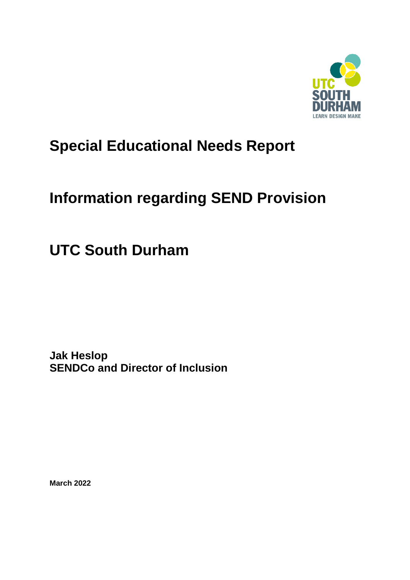

# **Special Educational Needs Report**

# **Information regarding SEND Provision**

**UTC South Durham** 

**Jak Heslop SENDCo and Director of Inclusion**

**March 2022**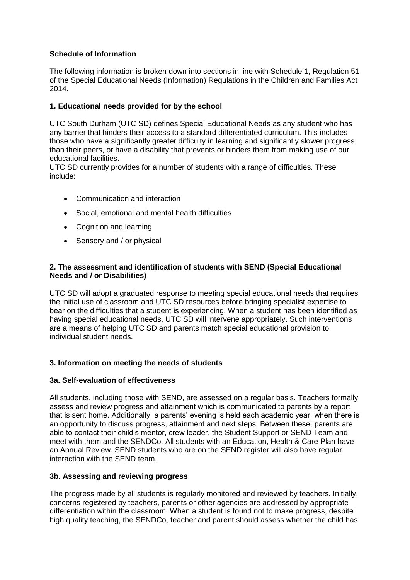# **Schedule of Information**

The following information is broken down into sections in line with Schedule 1, Regulation 51 of the Special Educational Needs (Information) Regulations in the Children and Families Act 2014.

#### **1. Educational needs provided for by the school**

UTC South Durham (UTC SD) defines Special Educational Needs as any student who has any barrier that hinders their access to a standard differentiated curriculum. This includes those who have a significantly greater difficulty in learning and significantly slower progress than their peers, or have a disability that prevents or hinders them from making use of our educational facilities.

UTC SD currently provides for a number of students with a range of difficulties. These include:

- Communication and interaction
- Social, emotional and mental health difficulties
- Cognition and learning
- Sensory and / or physical

#### **2. The assessment and identification of students with SEND (Special Educational Needs and / or Disabilities)**

UTC SD will adopt a graduated response to meeting special educational needs that requires the initial use of classroom and UTC SD resources before bringing specialist expertise to bear on the difficulties that a student is experiencing. When a student has been identified as having special educational needs, UTC SD will intervene appropriately. Such interventions are a means of helping UTC SD and parents match special educational provision to individual student needs.

#### **3. Information on meeting the needs of students**

#### **3a. Self-evaluation of effectiveness**

All students, including those with SEND, are assessed on a regular basis. Teachers formally assess and review progress and attainment which is communicated to parents by a report that is sent home. Additionally, a parents' evening is held each academic year, when there is an opportunity to discuss progress, attainment and next steps. Between these, parents are able to contact their child's mentor, crew leader, the Student Support or SEND Team and meet with them and the SENDCo. All students with an Education, Health & Care Plan have an Annual Review. SEND students who are on the SEND register will also have regular interaction with the SEND team.

#### **3b. Assessing and reviewing progress**

The progress made by all students is regularly monitored and reviewed by teachers. Initially, concerns registered by teachers, parents or other agencies are addressed by appropriate differentiation within the classroom. When a student is found not to make progress, despite high quality teaching, the SENDCo, teacher and parent should assess whether the child has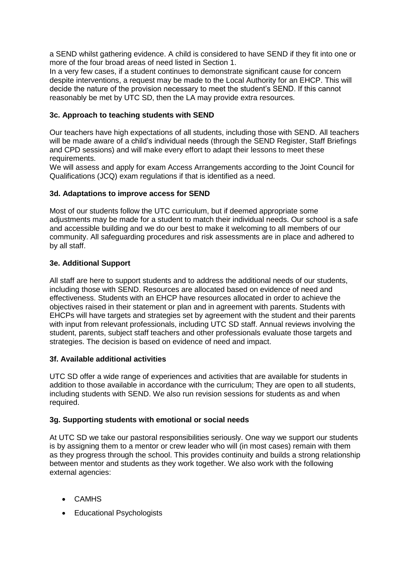a SEND whilst gathering evidence. A child is considered to have SEND if they fit into one or more of the four broad areas of need listed in Section 1.

In a very few cases, if a student continues to demonstrate significant cause for concern despite interventions, a request may be made to the Local Authority for an EHCP. This will decide the nature of the provision necessary to meet the student's SEND. If this cannot reasonably be met by UTC SD, then the LA may provide extra resources.

# **3c. Approach to teaching students with SEND**

Our teachers have high expectations of all students, including those with SEND. All teachers will be made aware of a child's individual needs (through the SEND Register, Staff Briefings and CPD sessions) and will make every effort to adapt their lessons to meet these requirements.

We will assess and apply for exam Access Arrangements according to the Joint Council for Qualifications (JCQ) exam regulations if that is identified as a need.

#### **3d. Adaptations to improve access for SEND**

Most of our students follow the UTC curriculum, but if deemed appropriate some adjustments may be made for a student to match their individual needs. Our school is a safe and accessible building and we do our best to make it welcoming to all members of our community. All safeguarding procedures and risk assessments are in place and adhered to by all staff.

#### **3e. Additional Support**

All staff are here to support students and to address the additional needs of our students, including those with SEND. Resources are allocated based on evidence of need and effectiveness. Students with an EHCP have resources allocated in order to achieve the objectives raised in their statement or plan and in agreement with parents. Students with EHCPs will have targets and strategies set by agreement with the student and their parents with input from relevant professionals, including UTC SD staff. Annual reviews involving the student, parents, subject staff teachers and other professionals evaluate those targets and strategies. The decision is based on evidence of need and impact.

#### **3f. Available additional activities**

UTC SD offer a wide range of experiences and activities that are available for students in addition to those available in accordance with the curriculum; They are open to all students, including students with SEND. We also run revision sessions for students as and when required.

#### **3g. Supporting students with emotional or social needs**

At UTC SD we take our pastoral responsibilities seriously. One way we support our students is by assigning them to a mentor or crew leader who will (in most cases) remain with them as they progress through the school. This provides continuity and builds a strong relationship between mentor and students as they work together. We also work with the following external agencies:

- CAMHS
- Educational Psychologists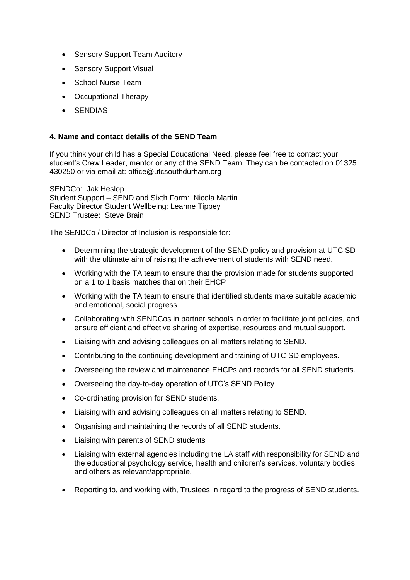- Sensory Support Team Auditory
- Sensory Support Visual
- School Nurse Team
- Occupational Therapy
- **SENDIAS**

#### **4. Name and contact details of the SEND Team**

If you think your child has a Special Educational Need, please feel free to contact your student's Crew Leader, mentor or any of the SEND Team. They can be contacted on 01325 430250 or via email at: office@utcsouthdurham.org

SENDCo: Jak Heslop Student Support – SEND and Sixth Form: Nicola Martin Faculty Director Student Wellbeing: Leanne Tippey SEND Trustee: Steve Brain

The SENDCo / Director of Inclusion is responsible for:

- Determining the strategic development of the SEND policy and provision at UTC SD with the ultimate aim of raising the achievement of students with SEND need.
- Working with the TA team to ensure that the provision made for students supported on a 1 to 1 basis matches that on their EHCP
- Working with the TA team to ensure that identified students make suitable academic and emotional, social progress
- Collaborating with SENDCos in partner schools in order to facilitate joint policies, and ensure efficient and effective sharing of expertise, resources and mutual support.
- Liaising with and advising colleagues on all matters relating to SEND.
- Contributing to the continuing development and training of UTC SD employees.
- Overseeing the review and maintenance EHCPs and records for all SEND students.
- Overseeing the day-to-day operation of UTC's SEND Policy.
- Co-ordinating provision for SEND students.
- Liaising with and advising colleagues on all matters relating to SEND.
- Organising and maintaining the records of all SEND students.
- Liaising with parents of SEND students
- Liaising with external agencies including the LA staff with responsibility for SEND and the educational psychology service, health and children's services, voluntary bodies and others as relevant/appropriate.
- Reporting to, and working with, Trustees in regard to the progress of SEND students.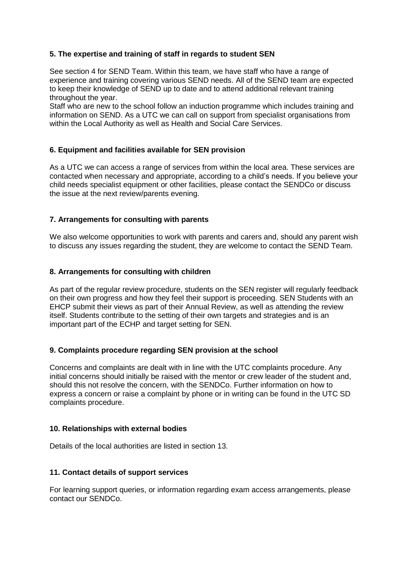# **5. The expertise and training of staff in regards to student SEN**

See section 4 for SEND Team. Within this team, we have staff who have a range of experience and training covering various SEND needs. All of the SEND team are expected to keep their knowledge of SEND up to date and to attend additional relevant training throughout the year.

Staff who are new to the school follow an induction programme which includes training and information on SEND. As a UTC we can call on support from specialist organisations from within the Local Authority as well as Health and Social Care Services.

# **6. Equipment and facilities available for SEN provision**

As a UTC we can access a range of services from within the local area. These services are contacted when necessary and appropriate, according to a child's needs. If you believe your child needs specialist equipment or other facilities, please contact the SENDCo or discuss the issue at the next review/parents evening.

#### **7. Arrangements for consulting with parents**

We also welcome opportunities to work with parents and carers and, should any parent wish to discuss any issues regarding the student, they are welcome to contact the SEND Team.

#### **8. Arrangements for consulting with children**

As part of the regular review procedure, students on the SEN register will regularly feedback on their own progress and how they feel their support is proceeding. SEN Students with an EHCP submit their views as part of their Annual Review, as well as attending the review itself. Students contribute to the setting of their own targets and strategies and is an important part of the ECHP and target setting for SEN.

#### **9. Complaints procedure regarding SEN provision at the school**

Concerns and complaints are dealt with in line with the UTC complaints procedure. Any initial concerns should initially be raised with the mentor or crew leader of the student and, should this not resolve the concern, with the SENDCo. Further information on how to express a concern or raise a complaint by phone or in writing can be found in the UTC SD complaints procedure.

#### **10. Relationships with external bodies**

Details of the local authorities are listed in section 13.

#### **11. Contact details of support services**

For learning support queries, or information regarding exam access arrangements, please contact our SENDCo.